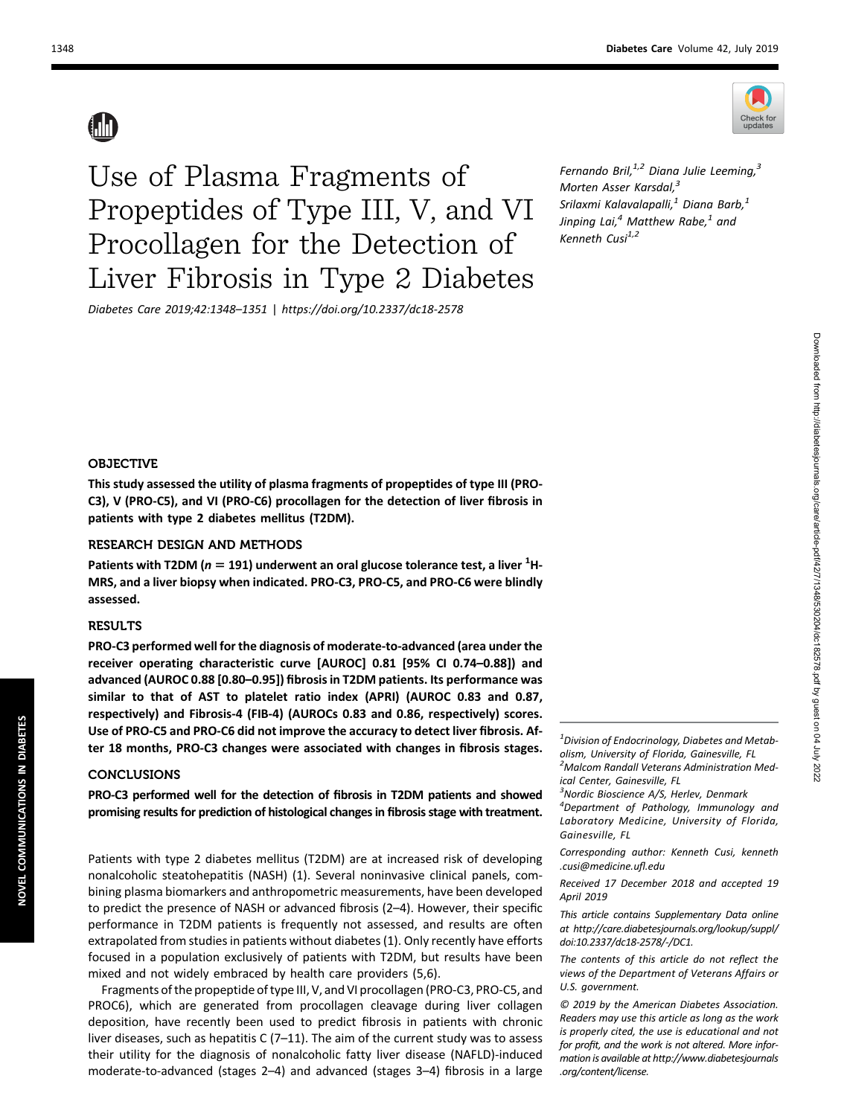Use of Plasma Fragments of Propeptides of Type III, V, and VI Procollagen for the Detection of Liver Fibrosis in Type 2 Diabetes

Diabetes Care 2019;42:1348–1351 | <https://doi.org/10.2337/dc18-2578>

Fernando Bril, $^{1,2}$  Diana Julie Leeming, $^{3}$ Morten Asser Karsdal,<sup>3</sup> Srilaxmi Kalavalapalli, $^1$  Diana Barb, $^1$ Jinping Lai, $^4$  Matthew Rabe, $^1$  and Kenneth Cusi $^{1,2}$ 

## OBJECTIVE

This study assessed the utility of plasma fragments of propeptides of type III (PRO-C3), V (PRO-C5), and VI (PRO-C6) procollagen for the detection of liver fibrosis in patients with type 2 diabetes mellitus (T2DM).

## RESEARCH DESIGN AND METHODS

Patients with T2DM ( $n = 191$ ) underwent an oral glucose tolerance test, a liver  $^{1}$ H-MRS, and a liver biopsy when indicated. PRO-C3, PRO-C5, and PRO-C6 were blindly assessed.

## RESULTS

PRO-C3 performed well for the diagnosis of moderate-to-advanced (area under the receiver operating characteristic curve [AUROC] 0.81 [95% CI 0.74–0.88]) and advanced (AUROC 0.88 [0.80–0.95]) fibrosis in T2DM patients. Its performance was similar to that of AST to platelet ratio index (APRI) (AUROC 0.83 and 0.87, respectively) and Fibrosis-4 (FIB-4) (AUROCs 0.83 and 0.86, respectively) scores. Use of PRO-C5 and PRO-C6 did not improve the accuracy to detect liver fibrosis. After 18 months, PRO-C3 changes were associated with changes in fibrosis stages.

## **CONCLUSIONS**

PRO-C3 performed well for the detection of fibrosis in T2DM patients and showed promising results for prediction of histological changes in fibrosis stage with treatment.

Patients with type 2 diabetes mellitus (T2DM) are at increased risk of developing nonalcoholic steatohepatitis (NASH) (1). Several noninvasive clinical panels, combining plasma biomarkers and anthropometric measurements, have been developed to predict the presence of NASH or advanced fibrosis (2–4). However, their specific performance in T2DM patients is frequently not assessed, and results are often extrapolated from studies in patients without diabetes (1). Only recently have efforts focused in a population exclusively of patients with T2DM, but results have been mixed and not widely embraced by health care providers (5,6).

Fragments of the propeptide of type III, V, and VI procollagen (PRO-C3, PRO-C5, and PROC6), which are generated from procollagen cleavage during liver collagen deposition, have recently been used to predict fibrosis in patients with chronic liver diseases, such as hepatitis C (7–11). The aim of the current study was to assess their utility for the diagnosis of nonalcoholic fatty liver disease (NAFLD)-induced moderate-to-advanced (stages 2–4) and advanced (stages 3–4) fibrosis in a large

 $1$ Division of Endocrinology, Diabetes and Metabolism, University of Florida, Gainesville, FL <sup>2</sup> Malcom Randall Veterans Administration Medical Center, Gainesville, FL

<sup>3</sup>Nordic Bioscience A/S, Herlev, Denmark

4 Department of Pathology, Immunology and Laboratory Medicine, University of Florida, Gainesville, FL

Corresponding author: Kenneth Cusi, [kenneth](mailto:kenneth.cusi@medicine.ufl.edu) [.cusi@medicine.u](mailto:kenneth.cusi@medicine.ufl.edu)fl.edu

Received 17 December 2018 and accepted 19 April 2019

This article contains Supplementary Data online at [http://care.diabetesjournals.org/lookup/suppl/](http://care.diabetesjournals.org/lookup/suppl/doi:10.2337/dc18-2578/-/DC1) [doi:10.2337/dc18-2578/-/DC1](http://care.diabetesjournals.org/lookup/suppl/doi:10.2337/dc18-2578/-/DC1).

The contents of this article do not reflect the views of the Department of Veterans Affairs or U.S. government.

© 2019 by the American Diabetes Association. Readers may use this article as long as the work is properly cited, the use is educational and not for profit, and the work is not altered. More information is available at [http://www.diabetesjournals](http://www.diabetesjournals.org/content/license) [.org/content/license](http://www.diabetesjournals.org/content/license).

NOVEL COMMUNICATIONS IN DIABETES

NOVEL COMMUNICATIONS IN DIABETES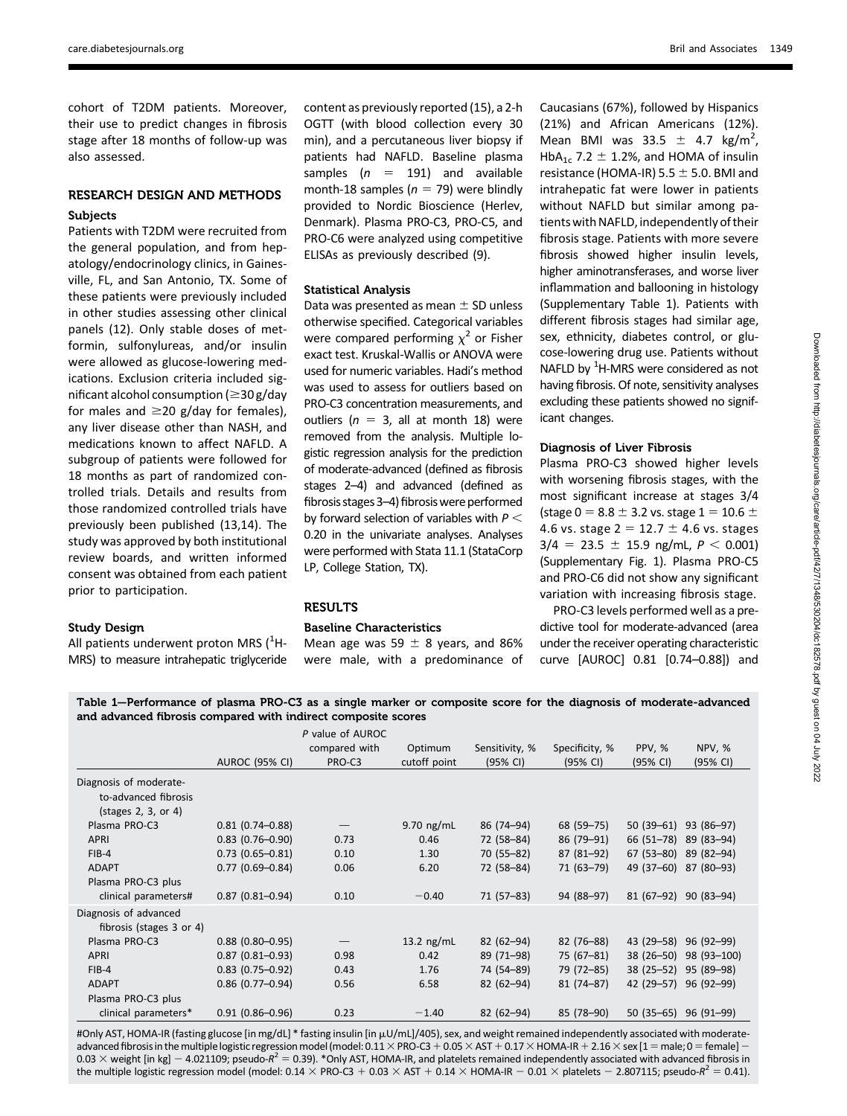cohort of T2DM patients. Moreover, their use to predict changes in fibrosis stage after 18 months of follow-up was also assessed.

# RESEARCH DESIGN AND METHODS Subjects

Patients with T2DM were recruited from the general population, and from hepatology/endocrinology clinics, in Gainesville, FL, and San Antonio, TX. Some of these patients were previously included in other studies assessing other clinical panels (12). Only stable doses of metformin, sulfonylureas, and/or insulin were allowed as glucose-lowering medications. Exclusion criteria included significant alcohol consumption ( $\geq$ 30 g/day for males and  $\geq$ 20 g/day for females), any liver disease other than NASH, and medications known to affect NAFLD. A subgroup of patients were followed for 18 months as part of randomized controlled trials. Details and results from those randomized controlled trials have previously been published (13,14). The study was approved by both institutional review boards, and written informed consent was obtained from each patient prior to participation.

## Study Design

All patients underwent proton MRS  $(^1H$ -MRS) to measure intrahepatic triglyceride content as previously reported (15), a 2-h OGTT (with blood collection every 30 min), and a percutaneous liver biopsy if patients had NAFLD. Baseline plasma samples ( $n = 191$ ) and available month-18 samples ( $n = 79$ ) were blindly provided to Nordic Bioscience (Herlev, Denmark). Plasma PRO-C3, PRO-C5, and PRO-C6 were analyzed using competitive ELISAs as previously described (9).

## Statistical Analysis

Data was presented as mean  $\pm$  SD unless otherwise specified. Categorical variables were compared performing  $\chi^2$  or Fisher exact test. Kruskal-Wallis or ANOVA were used for numeric variables. Hadi's method was used to assess for outliers based on PRO-C3 concentration measurements, and outliers ( $n = 3$ , all at month 18) were removed from the analysis. Multiple logistic regression analysis for the prediction of moderate-advanced (defined as fibrosis stages 2–4) and advanced (defined as fibrosis stages 3-4) fibrosis were performed by forward selection of variables with  $P <$ 0.20 in the univariate analyses. Analyses were performed with Stata 11.1 (StataCorp LP, College Station, TX).

## RESULTS

## Baseline Characteristics

Mean age was 59  $\pm$  8 years, and 86% were male, with a predominance of Caucasians (67%), followed by Hispanics (21%) and African Americans (12%). Mean BMI was  $33.5 \pm 4.7$  kg/m<sup>2</sup>, HbA<sub>1c</sub> 7.2  $\pm$  1.2%, and HOMA of insulin resistance (HOMA-IR) 5.5  $\pm$  5.0. BMI and intrahepatic fat were lower in patients without NAFLD but similar among patients with NAFLD, independently of their fibrosis stage. Patients with more severe fibrosis showed higher insulin levels, higher aminotransferases, and worse liver inflammation and ballooning in histology [\(Supplementary Table 1\)](http://care.diabetesjournals.org/lookup/suppl/doi:10.2337/dc18-2578/-/DC1). Patients with different fibrosis stages had similar age, sex, ethnicity, diabetes control, or glucose-lowering drug use. Patients without NAFLD by  $1$ H-MRS were considered as not having fibrosis. Of note, sensitivity analyses excluding these patients showed no significant changes.

## Diagnosis of Liver Fibrosis

Plasma PRO-C3 showed higher levels with worsening fibrosis stages, with the most significant increase at stages 3/4 (stage 0 = 8.8  $\pm$  3.2 vs. stage 1 = 10.6  $\pm$ 4.6 vs. stage  $2 = 12.7 \pm 4.6$  vs. stages  $3/4$  = 23.5  $\pm$  15.9 ng/mL,  $P < 0.001$ ) [\(Supplementary Fig. 1\)](http://care.diabetesjournals.org/lookup/suppl/doi:10.2337/dc18-2578/-/DC1). Plasma PRO-C5 and PRO-C6 did not show any significant variation with increasing fibrosis stage.

PRO-C3 levels performed well as a predictive tool for moderate-advanced (area under the receiver operating characteristic curve [AUROC] 0.81 [0.74–0.88]) and

Table 1—Performance of plasma PRO-C3 as a single marker or composite score for the diagnosis of moderate-advanced and advanced fibrosis compared with indirect composite scores

|                                                                                | <b>AUROC (95% CI)</b>  | P value of AUROC<br>compared with<br>PRO-C3 | Optimum<br>cutoff point | Sensitivity, %<br>(95% CI) | Specificity, %<br>(95% CI) | PPV, %<br>(95% CI) | <b>NPV, %</b><br>(95% CI) |
|--------------------------------------------------------------------------------|------------------------|---------------------------------------------|-------------------------|----------------------------|----------------------------|--------------------|---------------------------|
| Diagnosis of moderate-<br>to-advanced fibrosis<br>$(stat)$ (stages 2, 3, or 4) |                        |                                             |                         |                            |                            |                    |                           |
| Plasma PRO-C3                                                                  | $0.81(0.74 - 0.88)$    |                                             | $9.70$ ng/mL            | 86 (74–94)                 | 68 (59–75)                 | $50(39-61)$        | 93 (86-97)                |
| <b>APRI</b>                                                                    | $0.83$ (0.76-0.90)     | 0.73                                        | 0.46                    | 72 (58-84)                 | 86 (79 - 91)               | 66 (51-78)         | 89 (83-94)                |
| $FIB-4$                                                                        | $0.73$ $(0.65 - 0.81)$ | 0.10                                        | 1.30                    | 70 (55-82)                 | $87(81-92)$                | $67(53 - 80)$      | 89 (82-94)                |
| <b>ADAPT</b><br>Plasma PRO-C3 plus                                             | $0.77(0.69 - 0.84)$    | 0.06                                        | 6.20                    | 72 (58-84)                 | 71 (63-79)                 | 49 (37-60)         | 87 (80-93)                |
| clinical parameters#                                                           | $0.87(0.81 - 0.94)$    | 0.10                                        | $-0.40$                 | $71(57-83)$                | 94 (88-97)                 | $81(67-92)$        | $90(83-94)$               |
| Diagnosis of advanced<br>fibrosis (stages 3 or 4)                              |                        |                                             |                         |                            |                            |                    |                           |
| Plasma PRO-C3                                                                  | $0.88$ (0.80-0.95)     |                                             | 13.2 $ng/mL$            | $82(62 - 94)$              | 82 (76–88)                 | 43 (29–58)         | $96(92 - 99)$             |
| <b>APRI</b>                                                                    | $0.87$ (0.81-0.93)     | 0.98                                        | 0.42                    | 89 (71-98)                 | 75 (67–81)                 | $38(26 - 50)$      | 98 (93-100)               |
| $FIB-4$                                                                        | $0.83$ (0.75-0.92)     | 0.43                                        | 1.76                    | 74 (54-89)                 | 79 (72-85)                 | $38(25 - 52)$      | 95 (89-98)                |
| <b>ADAPT</b>                                                                   | $0.86$ (0.77-0.94)     | 0.56                                        | 6.58                    | $82(62 - 94)$              | $81(74 - 87)$              | 42 (29–57)         | 96 (92-99)                |
| Plasma PRO-C3 plus                                                             |                        |                                             |                         |                            |                            |                    |                           |
| clinical parameters*                                                           | $0.91(0.86 - 0.96)$    | 0.23                                        | $-1.40$                 | $82(62 - 94)$              | 85 (78-90)                 | $50(35-65)$        | 96 (91-99)                |

#Only AST, HOMA-IR (fasting glucose [in mg/dL] \* fasting insulin [in µU/mL]/405), sex, and weight remained independently associated with moderateadvanced fibrosis in the multiple logistic regression model (model: 0.11  $\times$  PRO-C3 + 0.05  $\times$  AST + 0.17  $\times$  HOMA-IR + 2.16  $\times$  sex [1 = male; 0 = female] -0.03  $\times$  weight [in kg] - 4.021109; pseudo- $R^2 = 0.39$ ). \*Only AST, HOMA-IR, and platelets remained independently associated with advanced fibrosis in the multiple logistic regression model (model:  $0.14 \times PRO-C3 + 0.03 \times AST + 0.14 \times HOMA-IR - 0.01 \times platelets - 2.807115$ ; pseudo- $R^2 = 0.41$ ).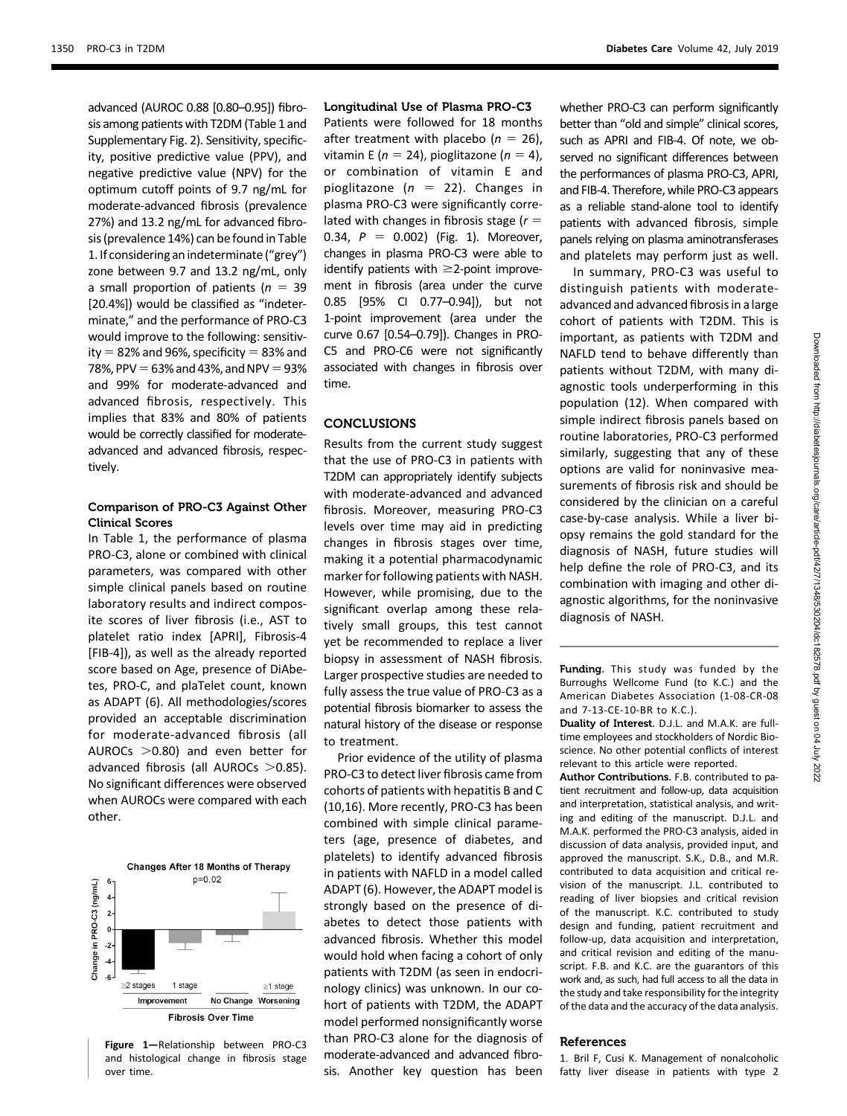advanced (AUROC 0.88 [0.80–0.95]) fibrosis among patients with T2DM (Table 1 and [Supplementary Fig. 2\)](http://care.diabetesjournals.org/lookup/suppl/doi:10.2337/dc18-2578/-/DC1). Sensitivity, specificity, positive predictive value (PPV), and negative predictive value (NPV) for the optimum cutoff points of 9.7 ng/mL for moderate-advanced fibrosis (prevalence 27%) and 13.2 ng/mL for advanced fibrosis (prevalence 14%) can be found in Table 1. If considering an indeterminate ("grey") zone between 9.7 and 13.2 ng/mL, only a small proportion of patients ( $n = 39$ [20.4%]) would be classified as "indeterminate," and the performance of PRO-C3 would improve to the following: sensitivity  $= 82%$  and 96%, specificity  $= 83%$  and 78%, PPV =  $63\%$  and 43%, and NPV =  $93\%$ and 99% for moderate-advanced and advanced fibrosis, respectively. This implies that 83% and 80% of patients would be correctly classified for moderateadvanced and advanced fibrosis, respectively.

## Comparison of PRO-C3 Against Other Clinical Scores

In Table 1, the performance of plasma PRO-C3, alone or combined with clinical parameters, was compared with other simple clinical panels based on routine laboratory results and indirect composite scores of liver fibrosis (i.e., AST to platelet ratio index [APRI], Fibrosis-4 [FIB-4]), as well as the already reported score based on Age, presence of DiAbetes, PRO-C, and plaTelet count, known as ADAPT (6). All methodologies/scores provided an acceptable discrimination for moderate-advanced fibrosis (all AUROCs  $>0.80$ ) and even better for advanced fibrosis (all AUROCs  $>0.85$ ). No significant differences were observed when AUROCs were compared with each other.



Figure 1—Relationship between PRO-C3 and histological change in fibrosis stage over time.

### Longitudinal Use of Plasma PRO-C3

Patients were followed for 18 months after treatment with placebo ( $n = 26$ ), vitamin E ( $n = 24$ ), pioglitazone ( $n = 4$ ), or combination of vitamin E and pioglitazone ( $n = 22$ ). Changes in plasma PRO-C3 were significantly correlated with changes in fibrosis stage ( $r =$ 0.34,  $P = 0.002$ ) (Fig. 1). Moreover, changes in plasma PRO-C3 were able to identify patients with  $\geq$ 2-point improvement in fibrosis (area under the curve 0.85 [95% CI 0.77–0.94]), but not 1-point improvement (area under the curve 0.67 [0.54–0.79]). Changes in PRO-C5 and PRO-C6 were not significantly associated with changes in fibrosis over time.

## **CONCLUSIONS**

Results from the current study suggest that the use of PRO-C3 in patients with T2DM can appropriately identify subjects with moderate-advanced and advanced fibrosis. Moreover, measuring PRO-C3 levels over time may aid in predicting changes in fibrosis stages over time, making it a potential pharmacodynamic marker for following patients with NASH. However, while promising, due to the significant overlap among these relatively small groups, this test cannot yet be recommended to replace a liver biopsy in assessment of NASH fibrosis. Larger prospective studies are needed to fully assess the true value of PRO-C3 as a potential fibrosis biomarker to assess the natural history of the disease or response to treatment.

Prior evidence of the utility of plasma PRO-C3 to detect liver fibrosis came from cohorts of patients with hepatitis B and C (10,16). More recently, PRO-C3 has been combined with simple clinical parameters (age, presence of diabetes, and platelets) to identify advanced fibrosis in patients with NAFLD in a model called ADAPT (6). However, the ADAPT model is strongly based on the presence of diabetes to detect those patients with advanced fibrosis. Whether this model would hold when facing a cohort of only patients with T2DM (as seen in endocrinology clinics) was unknown. In our cohort of patients with T2DM, the ADAPT model performed nonsignificantly worse than PRO-C3 alone for the diagnosis of moderate-advanced and advanced fibrosis. Another key question has been

whether PRO-C3 can perform significantly better than "old and simple" clinical scores, such as APRI and FIB-4. Of note, we observed no significant differences between the performances of plasma PRO-C3, APRI, and FIB-4. Therefore, while PRO-C3 appears

as a reliable stand-alone tool to identify patients with advanced fibrosis, simple panels relying on plasma aminotransferases and platelets may perform just as well. In summary, PRO-C3 was useful to

distinguish patients with moderateadvanced and advanced fibrosis in a large cohort of patients with T2DM. This is important, as patients with T2DM and NAFLD tend to behave differently than patients without T2DM, with many diagnostic tools underperforming in this population (12). When compared with simple indirect fibrosis panels based on routine laboratories, PRO-C3 performed similarly, suggesting that any of these options are valid for noninvasive measurements of fibrosis risk and should be considered by the clinician on a careful case-by-case analysis. While a liver biopsy remains the gold standard for the diagnosis of NASH, future studies will help define the role of PRO-C3, and its combination with imaging and other diagnostic algorithms, for the noninvasive diagnosis of NASH.

Funding. This study was funded by the Burroughs Wellcome Fund (to K.C.) and the American Diabetes Association (1-08-CR-08 and 7-13-CE-10-BR to K.C.).

Duality of Interest. D.J.L. and M.A.K. are fulltime employees and stockholders of Nordic Bioscience. No other potential conflicts of interest relevant to this article were reported.

Author Contributions. F.B. contributed to patient recruitment and follow-up, data acquisition and interpretation, statistical analysis, and writing and editing of the manuscript. D.J.L. and M.A.K. performed the PRO-C3 analysis, aided in discussion of data analysis, provided input, and approved the manuscript. S.K., D.B., and M.R. contributed to data acquisition and critical revision of the manuscript. J.L. contributed to reading of liver biopsies and critical revision of the manuscript. K.C. contributed to study design and funding, patient recruitment and follow-up, data acquisition and interpretation, and critical revision and editing of the manuscript. F.B. and K.C. are the guarantors of this work and, as such, had full access to all the data in the study and take responsibility for the integrity of the data and the accuracy of the data analysis.

#### References

1. Bril F, Cusi K. Management of nonalcoholic fatty liver disease in patients with type 2